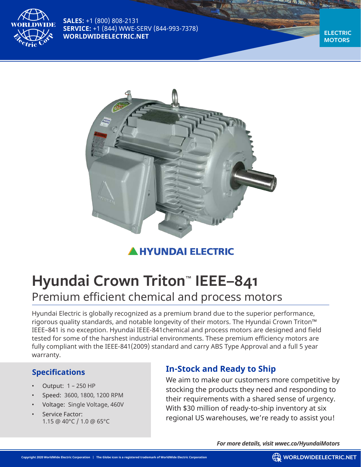

**SALES:** +1 (800) 808-2131 **SERVICE:** +1 (844) WWE-SERV (844-993-7378) **WORLDWIDEELECTRIC.NET**

**ELECTRIC MOTORS**



# **HYUNDAI ELECTRIC**

# **Hyundai Crown Triton™ IEEE–841** Premium efficient chemical and process motors

Hyundai Electric is globally recognized as a premium brand due to the superior performance, rigorous quality standards, and notable longevity of their motors. The Hyundai Crown Triton™ IEEE–841 is no exception. Hyundai IEEE-841chemical and process motors are designed and field tested for some of the harshest industrial environments. These premium efficiency motors are fully compliant with the IEEE-841(2009) standard and carry ABS Type Approval and a full 5 year warranty.

#### **Specifications**

- Output: 1 250 HP
- Speed: 3600, 1800, 1200 RPM
- Voltage: Single Voltage, 460V
- Service Factor: 1.15 @ 40°C / 1.0 @ 65°C

# **In-Stock and Ready to Ship**

We aim to make our customers more competitive by stocking the products they need and responding to their requirements with a shared sense of urgency. With \$30 million of ready-to-ship inventory at six regional US warehouses, we're ready to assist you!

*For more details, visit wwec.co/HyundaiMotors*